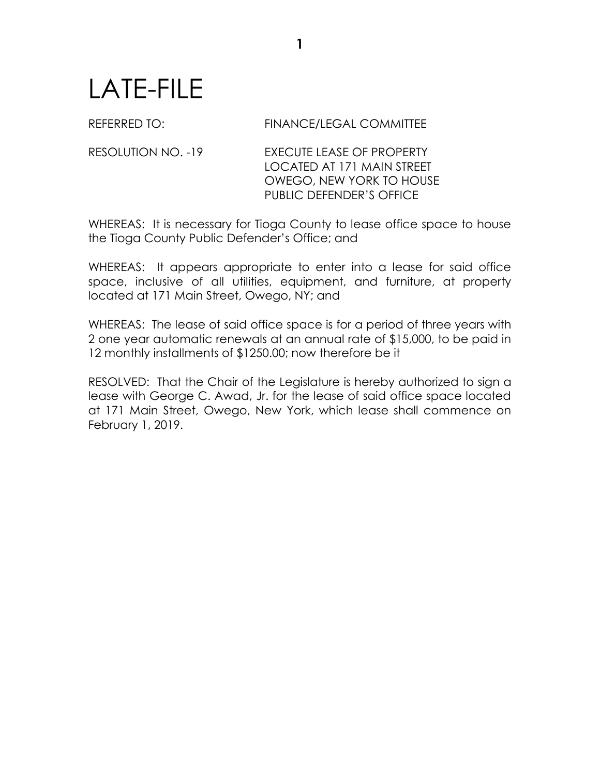## LATE-FILE

## REFERRED TO: FINANCE/LEGAL COMMITTEE

RESOLUTION NO. -19 **EXECUTE LEASE OF PROPERTY** LOCATED AT 171 MAIN STREET OWEGO, NEW YORK TO HOUSE PUBLIC DEFENDER'S OFFICE

WHEREAS: It is necessary for Tioga County to lease office space to house the Tioga County Public Defender's Office; and

WHEREAS: It appears appropriate to enter into a lease for said office space, inclusive of all utilities, equipment, and furniture, at property located at 171 Main Street, Owego, NY; and

WHEREAS: The lease of said office space is for a period of three years with 2 one year automatic renewals at an annual rate of \$15,000, to be paid in 12 monthly installments of \$1250.00; now therefore be it

RESOLVED: That the Chair of the Legislature is hereby authorized to sign a lease with George C. Awad, Jr. for the lease of said office space located at 171 Main Street, Owego, New York, which lease shall commence on February 1, 2019.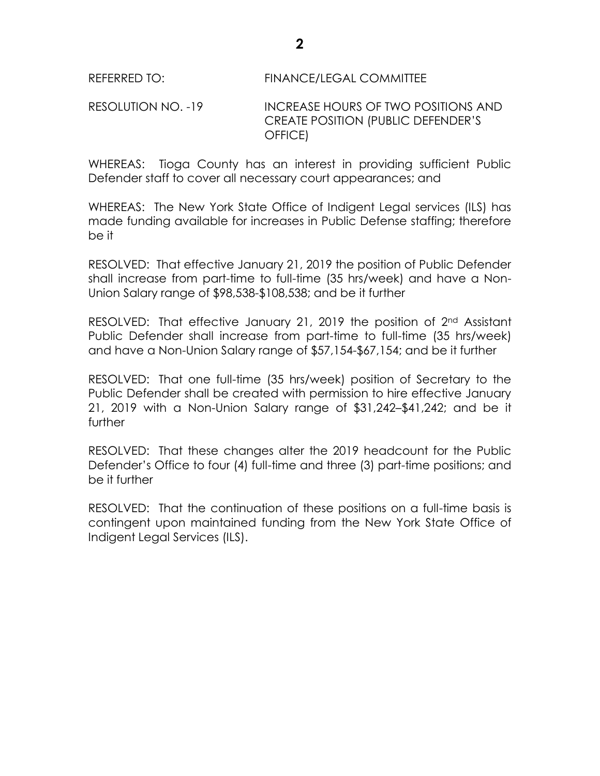## RESOLUTION NO. -19 INCREASE HOURS OF TWO POSITIONS AND CREATE POSITION (PUBLIC DEFENDER'S OFFICE)

WHEREAS: Tioga County has an interest in providing sufficient Public Defender staff to cover all necessary court appearances; and

WHEREAS: The New York State Office of Indigent Legal services (ILS) has made funding available for increases in Public Defense staffing; therefore be it

RESOLVED: That effective January 21, 2019 the position of Public Defender shall increase from part-time to full-time (35 hrs/week) and have a Non-Union Salary range of \$98,538-\$108,538; and be it further

RESOLVED: That effective January 21, 2019 the position of 2<sup>nd</sup> Assistant Public Defender shall increase from part-time to full-time (35 hrs/week) and have a Non-Union Salary range of \$57,154-\$67,154; and be it further

RESOLVED: That one full-time (35 hrs/week) position of Secretary to the Public Defender shall be created with permission to hire effective January 21, 2019 with a Non-Union Salary range of \$31,242–\$41,242; and be it further

RESOLVED: That these changes alter the 2019 headcount for the Public Defender's Office to four (4) full-time and three (3) part-time positions; and be it further

RESOLVED: That the continuation of these positions on a full-time basis is contingent upon maintained funding from the New York State Office of Indigent Legal Services (ILS).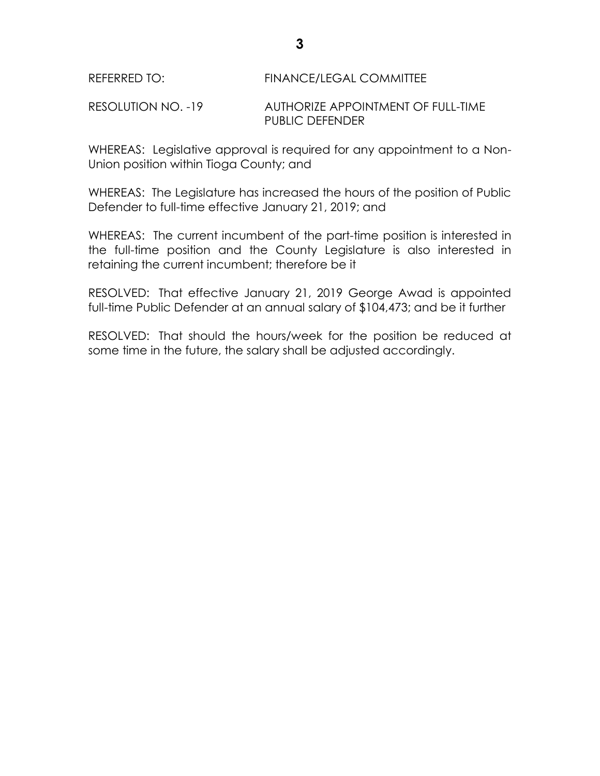RESOLUTION NO. -19 AUTHORIZE APPOINTMENT OF FULL-TIME PUBLIC DEFENDER

WHEREAS: Legislative approval is required for any appointment to a Non-Union position within Tioga County; and

WHEREAS: The Legislature has increased the hours of the position of Public Defender to full-time effective January 21, 2019; and

WHEREAS: The current incumbent of the part-time position is interested in the full-time position and the County Legislature is also interested in retaining the current incumbent; therefore be it

RESOLVED: That effective January 21, 2019 George Awad is appointed full-time Public Defender at an annual salary of \$104,473; and be it further

RESOLVED: That should the hours/week for the position be reduced at some time in the future, the salary shall be adjusted accordingly.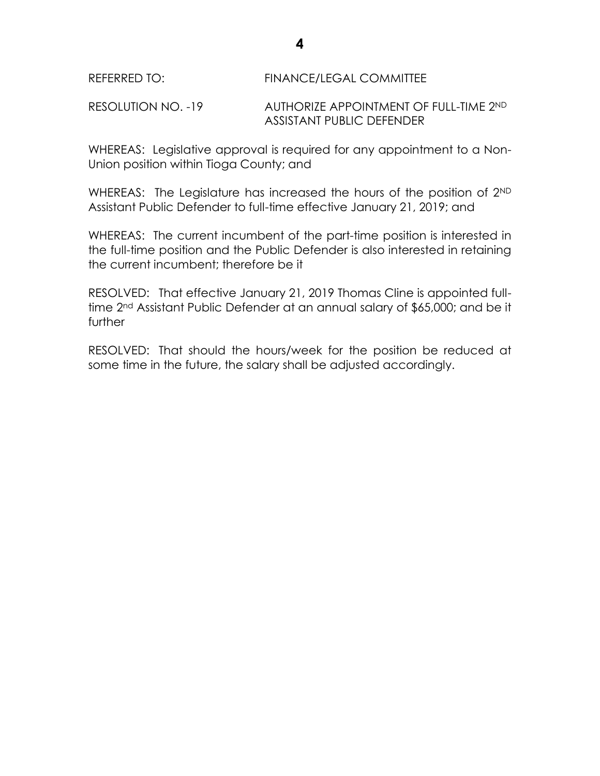RESOLUTION NO. -19 AUTHORIZE APPOINTMENT OF FULL-TIME 2ND ASSISTANT PUBLIC DEFENDER

WHEREAS: Legislative approval is required for any appointment to a Non-Union position within Tioga County; and

WHEREAS: The Legislature has increased the hours of the position of 2<sup>ND</sup> Assistant Public Defender to full-time effective January 21, 2019; and

WHEREAS: The current incumbent of the part-time position is interested in the full-time position and the Public Defender is also interested in retaining the current incumbent; therefore be it

RESOLVED: That effective January 21, 2019 Thomas Cline is appointed fulltime 2nd Assistant Public Defender at an annual salary of \$65,000; and be it further

RESOLVED: That should the hours/week for the position be reduced at some time in the future, the salary shall be adjusted accordingly.